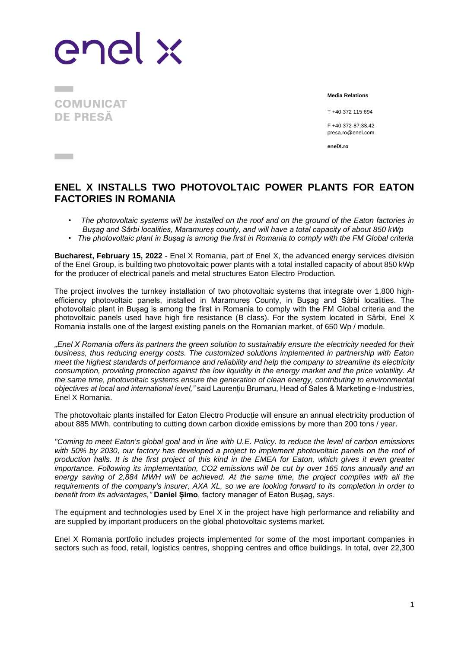enel x

**COMUNICAT DE PRESĂ** 

**The County** 

**Media Relations**

T +40 372 115 694

F +40 372-87.33.42 presa.ro@enel.com

**enelX.ro**

## **ENEL X INSTALLS TWO PHOTOVOLTAIC POWER PLANTS FOR EATON FACTORIES IN ROMANIA**

- *The photovoltaic systems will be installed on the roof and on the ground of the Eaton factories in Bușag and Sârbi localities, Maramureș county, and will have a total capacity of about 850 kWp*
- *The photovoltaic plant in Bușag is among the first in Romania to comply with the FM Global criteria*

**Bucharest, February 15, 2022** - Enel X Romania, part of Enel X, the advanced energy services division of the Enel Group, is building two photovoltaic power plants with a total installed capacity of about 850 kWp for the producer of electrical panels and metal structures Eaton Electro Production.

The project involves the turnkey installation of two photovoltaic systems that integrate over 1,800 highefficiency photovoltaic panels, installed in Maramureș County, in Buşag and Sârbi localities. The photovoltaic plant in Bușag is among the first in Romania to comply with the FM Global criteria and the photovoltaic panels used have high fire resistance (B class). For the system located in Sârbi, Enel X Romania installs one of the largest existing panels on the Romanian market, of 650 Wp / module.

*"Enel X Romania offers its partners the green solution to sustainably ensure the electricity needed for their business, thus reducing energy costs. The customized solutions implemented in partnership with Eaton meet the highest standards of performance and reliability and help the company to streamline its electricity consumption, providing protection against the low liquidity in the energy market and the price volatility. At the same time, photovoltaic systems ensure the generation of clean energy, contributing to environmental objectives at local and international level,"* said Laurențiu Brumaru, Head of Sales & Marketing e-Industries, Enel X Romania.

The photovoltaic plants installed for Eaton Electro Producție will ensure an annual electricity production of about 885 MWh, contributing to cutting down carbon dioxide emissions by more than 200 tons / year.

*"Coming to meet Eaton's global goal and in line with U.E. Policy. to reduce the level of carbon emissions with 50% by 2030, our factory has developed a project to implement photovoltaic panels on the roof of production halls. It is the first project of this kind in the EMEA for Eaton, which gives it even greater importance. Following its implementation, CO2 emissions will be cut by over 165 tons annually and an energy saving of 2,884 MWH will be achieved. At the same time, the project complies with all the requirements of the company's insurer, AXA XL, so we are looking forward to its completion in order to benefit from its advantages,"* **Daniel Șimo**, factory manager of Eaton Bușag, says.

The equipment and technologies used by Enel X in the project have high performance and reliability and are supplied by important producers on the global photovoltaic systems market.

Enel X Romania portfolio includes projects implemented for some of the most important companies in sectors such as food, retail, logistics centres, shopping centres and office buildings. In total, over 22,300